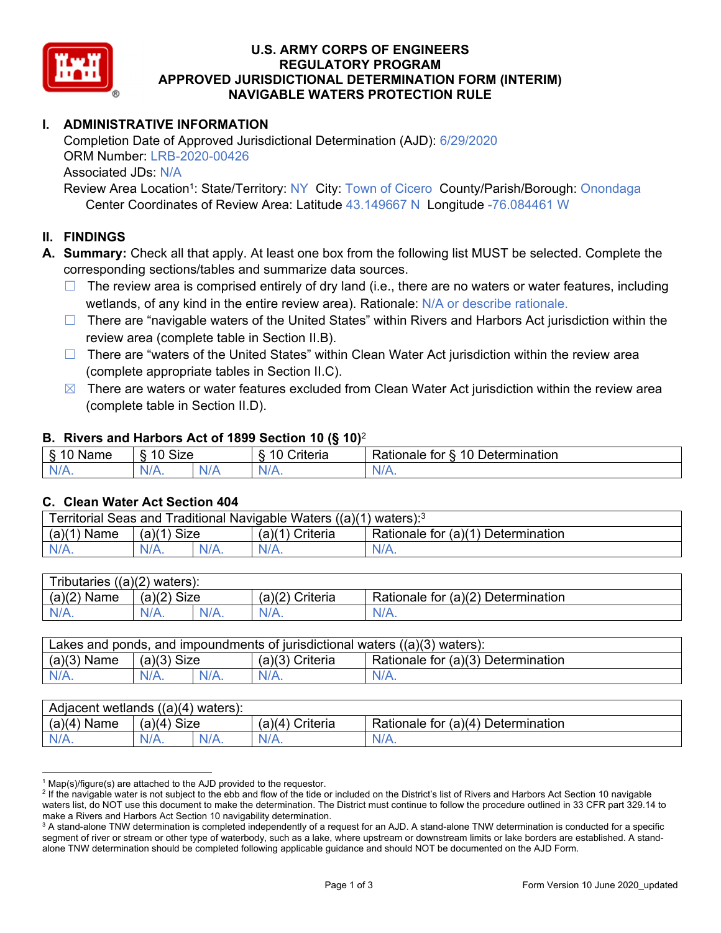

### **U.S. ARMY CORPS OF ENGINEERS REGULATORY PROGRAM APPROVED JURISDICTIONAL DETERMINATION FORM (INTERIM) NAVIGABLE WATERS PROTECTION RULE**

# **I. ADMINISTRATIVE INFORMATION**

Completion Date of Approved Jurisdictional Determination (AJD): 6/29/2020 ORM Number: LRB-2020-00426 Associated JDs: N/A

Review Area Location<sup>1</sup>: State/Territory: NY City: Town of Cicero County/Parish/Borough: Onondaga Center Coordinates of Review Area: Latitude 43.149667 N Longitude -76.084461 W

## **II. FINDINGS**

**A. Summary:** Check all that apply. At least one box from the following list MUST be selected. Complete the corresponding sections/tables and summarize data sources.

- $\Box$  The review area is comprised entirely of dry land (i.e., there are no waters or water features, including wetlands, of any kind in the entire review area). Rationale: N/A or describe rationale.
- $\Box$  There are "navigable waters of the United States" within Rivers and Harbors Act jurisdiction within the review area (complete table in Section II.B).
- $\Box$  There are "waters of the United States" within Clean Water Act jurisdiction within the review area (complete appropriate tables in Section II.C).
- $\boxtimes$  There are waters or water features excluded from Clean Water Act jurisdiction within the review area (complete table in Section II.D).

#### **B. Rivers and Harbors Act of 1899 Section 10 (§ 10)**<sup>2</sup>

| $\cdot$                                     |                                    |     |                                 |                                                                                            |  |
|---------------------------------------------|------------------------------------|-----|---------------------------------|--------------------------------------------------------------------------------------------|--|
| $\delta$<br>∽<br>.<br>'vame<br>u<br>٠J<br>- | <b>Size</b><br>$\overline{A}$<br>c |     | <b>AC</b><br>$"$ ritaria<br>ΙА. | $\overline{\phantom{a}}$<br>1 Q<br>⊃etermınatıon<br>$-1 - 1 - 1$<br>tor<br>kationale:<br>. |  |
| N/A.                                        | 97 A .                             | NIA | N//<br>17.                      |                                                                                            |  |

#### **C. Clean Water Act Section 404**

| Territorial Seas and Traditional Navigable Waters ((a)(1) waters): $3$ |                |  |                      |                                    |  |
|------------------------------------------------------------------------|----------------|--|----------------------|------------------------------------|--|
| (a)(1)<br>Name                                                         | Size<br>(a)(1) |  | ' Criteria<br>(a)(1` | Rationale for (a)(1) Determination |  |
|                                                                        | $N/A$ .        |  | $N/A$ .              | $N/A$ .                            |  |

| $((a)(2)$ waters):<br>ributaries |                |      |                    |                                    |  |  |
|----------------------------------|----------------|------|--------------------|------------------------------------|--|--|
| (a)(2)<br>Name                   | Size<br>(a)(2) |      | (a)(2)<br>Criteria | Rationale for (a)(2) Determination |  |  |
| $N/A$ .                          | N/A.           | N/A. | $N/A$ .            | N/A.                               |  |  |

| Lakes and ponds, and impoundments of jurisdictional waters $((a)(3)$ waters): |               |  |                   |                                    |  |
|-------------------------------------------------------------------------------|---------------|--|-------------------|------------------------------------|--|
| $(a)(3)$ Name                                                                 | $(a)(3)$ Size |  | $(a)(3)$ Criteria | Rationale for (a)(3) Determination |  |
| $N/A$ .                                                                       | $N/A$ .       |  | $N/A$ .           | $N/A$ .                            |  |

| Adjacent wetlands<br>((a)(4)<br>waters). |                       |      |                   |                                    |  |  |
|------------------------------------------|-----------------------|------|-------------------|------------------------------------|--|--|
| (a)(4)<br>Name                           | <b>Size</b><br>(a)(4) |      | (a)(4<br>Criteria | Rationale for (a)(4) Determination |  |  |
| N/A.                                     | $N/A$ .               | N/A. | $N/A$ .           | $N/A$ .                            |  |  |

<sup>&</sup>lt;sup>1</sup> Map(s)/figure(s) are attached to the AJD provided to the requestor.<br><sup>2</sup> If the navigable water is not subject to the ebb and flow of the tide o

<sup>&</sup>lt;sup>2</sup> If the navigable water is not subject to the ebb and flow of the tide or included on the District's list of Rivers and Harbors Act Section 10 navigable waters list, do NOT use this document to make the determination. The District must continue to follow the procedure outlined in 33 CFR part 329.14 to make a Rivers and Harbors Act Section 10 navigability determination.

 $^3$  A stand-alone TNW determination is completed independently of a request for an AJD. A stand-alone TNW determination is conducted for a specific segment of river or stream or other type of waterbody, such as a lake, where upstream or downstream limits or lake borders are established. A standalone TNW determination should be completed following applicable guidance and should NOT be documented on the AJD Form.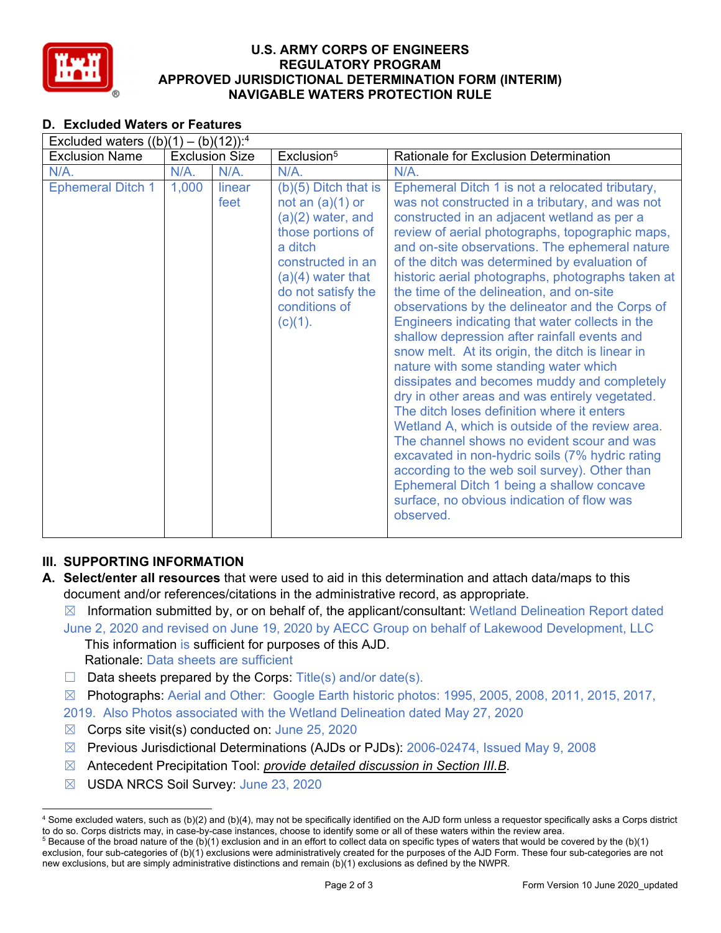

### **U.S. ARMY CORPS OF ENGINEERS REGULATORY PROGRAM APPROVED JURISDICTIONAL DETERMINATION FORM (INTERIM) NAVIGABLE WATERS PROTECTION RULE**

## **D. Excluded Waters or Features**

| Excluded waters $((b)(1) - (b)(12))$ : <sup>4</sup> |       |                       |                                                                                                                                                                                                   |                                                                                                                                                                                                                                                                                                                                                                                                                                                                                                                                                                                                                                                                                                                                                                                                                                                                                                                                                                                                                                                                                                                        |  |
|-----------------------------------------------------|-------|-----------------------|---------------------------------------------------------------------------------------------------------------------------------------------------------------------------------------------------|------------------------------------------------------------------------------------------------------------------------------------------------------------------------------------------------------------------------------------------------------------------------------------------------------------------------------------------------------------------------------------------------------------------------------------------------------------------------------------------------------------------------------------------------------------------------------------------------------------------------------------------------------------------------------------------------------------------------------------------------------------------------------------------------------------------------------------------------------------------------------------------------------------------------------------------------------------------------------------------------------------------------------------------------------------------------------------------------------------------------|--|
| <b>Exclusion Name</b>                               |       | <b>Exclusion Size</b> | Exclusion <sup>5</sup>                                                                                                                                                                            | <b>Rationale for Exclusion Determination</b>                                                                                                                                                                                                                                                                                                                                                                                                                                                                                                                                                                                                                                                                                                                                                                                                                                                                                                                                                                                                                                                                           |  |
| $N/A$ .                                             | N/A.  | $N/A$ .               | N/A.                                                                                                                                                                                              | N/A.                                                                                                                                                                                                                                                                                                                                                                                                                                                                                                                                                                                                                                                                                                                                                                                                                                                                                                                                                                                                                                                                                                                   |  |
| <b>Ephemeral Ditch 1</b>                            | 1,000 | linear<br>feet        | $(b)(5)$ Ditch that is<br>not an $(a)(1)$ or<br>$(a)(2)$ water, and<br>those portions of<br>a ditch<br>constructed in an<br>$(a)(4)$ water that<br>do not satisfy the<br>conditions of<br>(c)(1). | Ephemeral Ditch 1 is not a relocated tributary,<br>was not constructed in a tributary, and was not<br>constructed in an adjacent wetland as per a<br>review of aerial photographs, topographic maps,<br>and on-site observations. The ephemeral nature<br>of the ditch was determined by evaluation of<br>historic aerial photographs, photographs taken at<br>the time of the delineation, and on-site<br>observations by the delineator and the Corps of<br>Engineers indicating that water collects in the<br>shallow depression after rainfall events and<br>snow melt. At its origin, the ditch is linear in<br>nature with some standing water which<br>dissipates and becomes muddy and completely<br>dry in other areas and was entirely vegetated.<br>The ditch loses definition where it enters<br>Wetland A, which is outside of the review area.<br>The channel shows no evident scour and was<br>excavated in non-hydric soils (7% hydric rating<br>according to the web soil survey). Other than<br>Ephemeral Ditch 1 being a shallow concave<br>surface, no obvious indication of flow was<br>observed. |  |

# **III. SUPPORTING INFORMATION**

- **A. Select/enter all resources** that were used to aid in this determination and attach data/maps to this document and/or references/citations in the administrative record, as appropriate.
	- $\boxtimes$  Information submitted by, or on behalf of, the applicant/consultant: Wetland Delineation Report dated June 2, 2020 and revised on June 19, 2020 by AECC Group on behalf of Lakewood Development, LLC

This information is sufficient for purposes of this AJD. Rationale: Data sheets are sufficient

- $\Box$  Data sheets prepared by the Corps: Title(s) and/or date(s).
- ☒ Photographs: Aerial and Other: Google Earth historic photos: 1995, 2005, 2008, 2011, 2015, 2017,

2019. Also Photos associated with the Wetland Delineation dated May 27, 2020

- $\boxtimes$  Corps site visit(s) conducted on: June 25, 2020
- ☒ Previous Jurisdictional Determinations (AJDs or PJDs): 2006-02474, Issued May 9, 2008
- ☒ Antecedent Precipitation Tool: *provide detailed discussion in Section III.B*.
- ☒ USDA NRCS Soil Survey: June 23, 2020

<sup>4</sup> Some excluded waters, such as (b)(2) and (b)(4), may not be specifically identified on the AJD form unless a requestor specifically asks a Corps district to do so. Corps districts may, in case-by-case instances, choose to identify some or all of these waters within the review area. 5  $5$  Because of the broad nature of the (b)(1) exclusion and in an effort to collect data on specific types of waters that would be covered by the (b)(1)

exclusion, four sub-categories of (b)(1) exclusions were administratively created for the purposes of the AJD Form. These four sub-categories are not new exclusions, but are simply administrative distinctions and remain (b)(1) exclusions as defined by the NWPR.